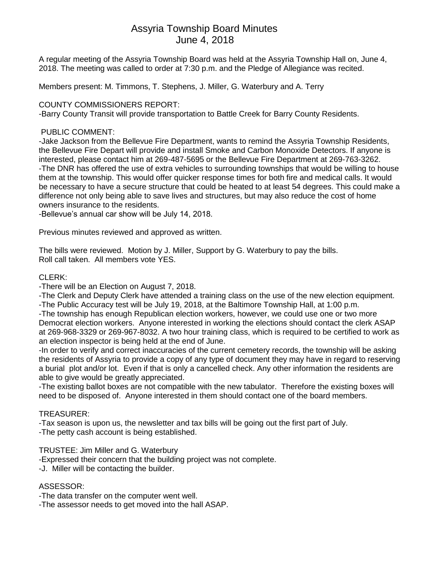# Assyria Township Board Minutes June 4, 2018

A regular meeting of the Assyria Township Board was held at the Assyria Township Hall on, June 4, 2018. The meeting was called to order at 7:30 p.m. and the Pledge of Allegiance was recited.

Members present: M. Timmons, T. Stephens, J. Miller, G. Waterbury and A. Terry

## COUNTY COMMISSIONERS REPORT:

-Barry County Transit will provide transportation to Battle Creek for Barry County Residents.

## PUBLIC COMMENT:

-Jake Jackson from the Bellevue Fire Department, wants to remind the Assyria Township Residents, the Bellevue Fire Depart will provide and install Smoke and Carbon Monoxide Detectors. If anyone is interested, please contact him at 269-487-5695 or the Bellevue Fire Department at 269-763-3262. -The DNR has offered the use of extra vehicles to surrounding townships that would be willing to house them at the township. This would offer quicker response times for both fire and medical calls. It would be necessary to have a secure structure that could be heated to at least 54 degrees. This could make a difference not only being able to save lives and structures, but may also reduce the cost of home owners insurance to the residents.

-Bellevue's annual car show will be July 14, 2018.

Previous minutes reviewed and approved as written.

The bills were reviewed. Motion by J. Miller, Support by G. Waterbury to pay the bills. Roll call taken. All members vote YES.

### CLERK:

-There will be an Election on August 7, 2018.

-The Clerk and Deputy Clerk have attended a training class on the use of the new election equipment. -The Public Accuracy test will be July 19, 2018, at the Baltimore Township Hall, at 1:00 p.m.

-The township has enough Republican election workers, however, we could use one or two more Democrat election workers. Anyone interested in working the elections should contact the clerk ASAP at 269-968-3329 or 269-967-8032. A two hour training class, which is required to be certified to work as an election inspector is being held at the end of June.

-In order to verify and correct inaccuracies of the current cemetery records, the township will be asking the residents of Assyria to provide a copy of any type of document they may have in regard to reserving a burial plot and/or lot. Even if that is only a cancelled check. Any other information the residents are able to give would be greatly appreciated.

-The existing ballot boxes are not compatible with the new tabulator. Therefore the existing boxes will need to be disposed of. Anyone interested in them should contact one of the board members.

#### TREASURER:

-Tax season is upon us, the newsletter and tax bills will be going out the first part of July.

-The petty cash account is being established.

#### TRUSTEE: Jim Miller and G. Waterbury

-Expressed their concern that the building project was not complete.

-J. Miller will be contacting the builder.

#### ASSESSOR:

-The data transfer on the computer went well.

-The assessor needs to get moved into the hall ASAP.